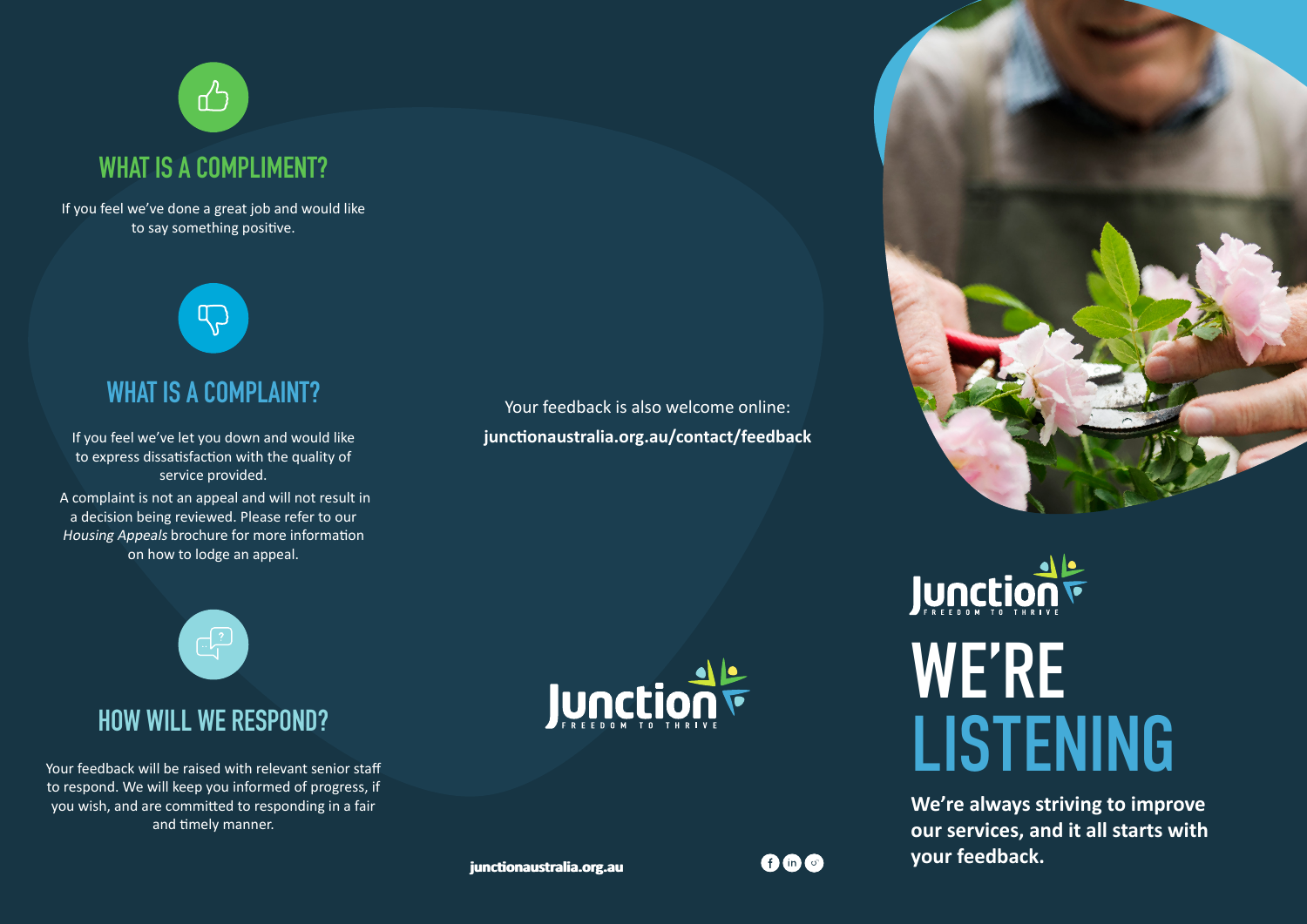## **WHAT IS A COMPLIMENT?**

 $\mathbb{Z}^2$ 

If you feel we've done a great job and would like to say something positive.



## **WHAT IS A COMPLAINT?**

If you feel we've let you down and would like to express dissatisfaction with the quality of service provided.

 A complaint is not an appeal and will not result in a decision being reviewed. Please refer to our Housing Appeals brochure for more information on how to lodge an appeal.



## **HOW WILL WE RESPOND?**

Your feedback will be raised with relevant senior staff to respond. We will keep you informed of progress, if you wish, and are committed to responding in a fair and timely manner.







# Juncțion F WE'RE LISTENING

**We're always striving to improve our services, and it all starts with your feedback.**

**junctionaustralia.org.au junctionaustralia.org.au**

**AMM**